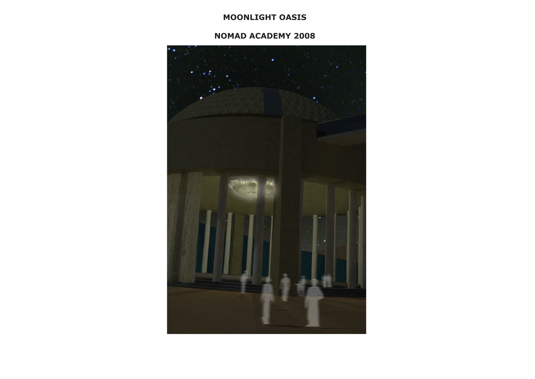# **MOONLIGHT OASIS**

## **NOMAD ACADEMY 2008**

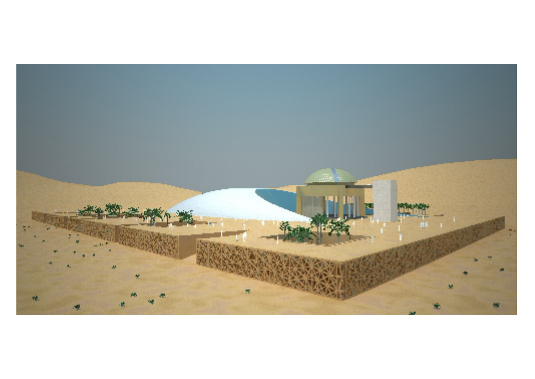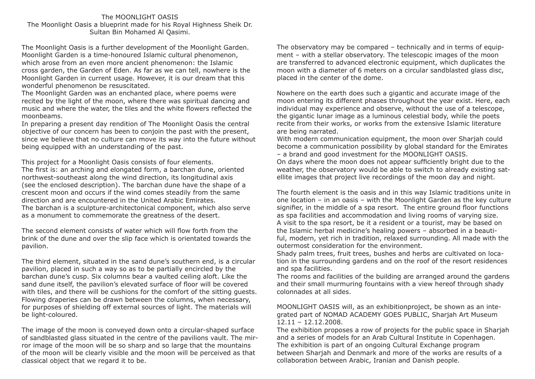#### The MOONLIGHT OASIS The Moonlight Oasis a blueprint made for his Royal Highness Sheik Dr. Sultan Bin Mohamed Al Qasimi.

The Moonlight Oasis is a further development of the Moonlight Garden. Moonlight Garden is a time-honoured Islamic cultural phenomenon, which arose from an even more ancient phenomenon: the Islamic cross garden, the Garden of Eden. As far as we can tell, nowhere is the Moonlight Garden in current usage. However, it is our dream that this wonderful phenomenon be resuscitated.

The Moonlight Garden was an enchanted place, where poems were recited by the light of the moon, where there was spiritual dancing and music and where the water, the tiles and the white flowers reflected the moonbeams.

In preparing a present day rendition of The Moonlight Oasis the central objective of our concern has been to conjoin the past with the present, since we believe that no culture can move its way into the future without being equipped with an understanding of the past.

This project for a Moonlight Oasis consists of four elements. The first is: an arching and elongated form, a barchan dune, oriented northwest-southeast along the wind direction, its longitudinal axis (see the enclosed description). The barchan dune have the shape of a crescent moon and occurs if the wind comes steadily from the same direction and are encountered in the United Arabic Emirates. The barchan is a sculpture-architectonical component, which also serve as a monument to commemorate the greatness of the desert.

The second element consists of water which will flow forth from the brink of the dune and over the slip face which is orientated towards the pavilion.

The third element, situated in the sand dune's southern end, is a circular pavilion, placed in such a way so as to be partially encircled by the barchan dune's cusp. Six columns bear a vaulted ceiling aloft. Like the sand dune itself, the pavilion's elevated surface of floor will be covered with tiles, and there will be cushions for the comfort of the sitting guests. Flowing draperies can be drawn between the columns, when necessary, for purposes of shielding off external sources of light. The materials will be light-coloured.

The image of the moon is conveyed down onto a circular-shaped surface of sandblasted glass situated in the centre of the pavilions vault. The mirror image of the moon will be so sharp and so large that the mountains of the moon will be clearly visible and the moon will be perceived as that classical object that we regard it to be.

The observatory may be compared – technically and in terms of equipment – with a stellar observatory. The telescopic images of the moon are transferred to advanced electronic equipment, which duplicates the moon with a diameter of 6 meters on a circular sandblasted glass disc, placed in the center of the dome.

Nowhere on the earth does such a gigantic and accurate image of the moon entering its different phases throughout the year exist. Here, each individual may experience and observe, without the use of a telescope, the gigantic lunar image as a luminous celestial body, while the poets recite from their works, or works from the extensive Islamic literature are being narrated.

With modern communication equipment, the moon over Sharjah could become a communication possibility by global standard for the Emirates – a brand and good investment for the MOONLIGHT OASIS.

On days where the moon does not appear sufficiently bright due to the weather, the observatory would be able to switch to already existing satellite images that project live recordings of the moon day and night.

The fourth element is the oasis and in this way Islamic traditions unite in one location – in an oasis – with the Moonlight Garden as the key culture signifier, in the middle of a spa resort. The entire ground floor functions as spa facilities and accommodation and living rooms of varying size. A visit to the spa resort, be it a resident or a tourist, may be based on the Islamic herbal medicine's healing powers – absorbed in a beautiful, modern, yet rich in tradition, relaxed surrounding. All made with the outermost consideration for the environment.

Shady palm trees, fruit trees, bushes and herbs are cultivated on location in the surrounding gardens and on the roof of the resort residences and spa facilities.

The rooms and facilities of the building are arranged around the gardens and their small murmuring fountains with a view hereof through shady colonnades at all sides.

MOONLIGHT OASIS will, as an exhibitionproject, be shown as an integrated part of NOMAD ACADEMY GOES PUBLIC, Sharjah Art Museum 12.11 – 12.12.2008.

The exhibition proposes a row of projects for the public space in Sharjah and a series of models for an Arab Cultural Institute in Copenhagen. The exhibition is part of an ongoing Cultural Exchange program between Shariah and Denmark and more of the works are results of a collaboration between Arabic, Iranian and Danish people.